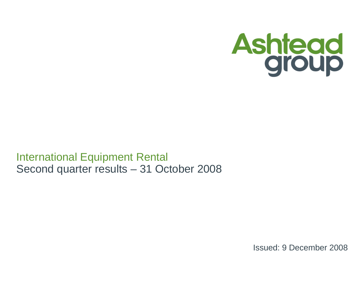

International Equipment RentalSecond quarter results – 31 October 2008

Issued: 9 December 2008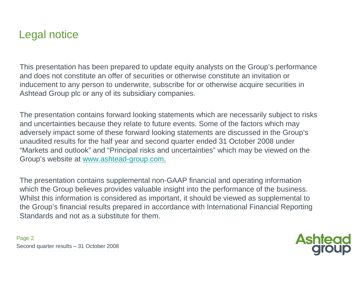## Legal notice

This presentation has been prepared to update equity analysts on the Group's performance and does not constitute an offer of securities or otherwise constitute an invitation or inducement to any person to underwrite, subscribe for or otherwise acquire securities in Ashtead Group plc or any of its subsidiary companies.

The presentation contains forward looking statements which are necessarily subject to risks and uncertainties because they relate to future events. Some of the factors which may adversely impact some of these forward looking statements are discussed in the Group's unaudited results for the half year and second quarter ended 31 October 2008 under "Markets and outlook" and "Principal risks and uncertainties" which may be viewed on the Group's website at www.ashtead-group.com.

The presentation contains supplemental non-GAAP financial and operating information which the Group believes provides valuable insight into the performance of the business. Whilst this information is considered as important, it should be viewed as supplemental to the Group's financial results prepared in accordance with International Financial Reporting Standards and not as a substitute for them.

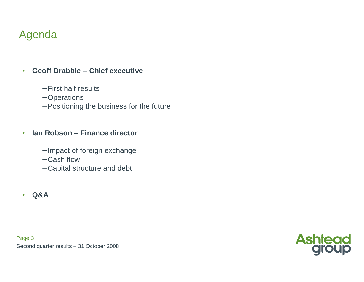# Agenda

#### •**Geoff Drabble – Chief executive**

- − First half results
- − Operations
- − Positioning the business for the future

#### •**Ian Robson – Finance director**

- − Impact of foreign exchange
- − Cash flow
- − Capital structure and debt
- **Q&A**

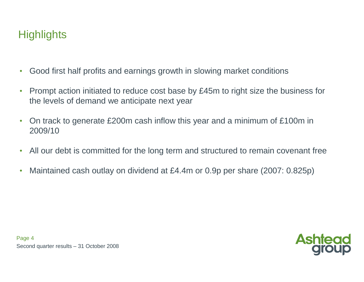# **Highlights**

- $\bullet$ Good first half profits and earnings growth in slowing market conditions
- $\bullet$  Prompt action initiated to reduce cost base by £45m to right size the business for the levels of demand we anticipate next year
- $\bullet$  On track to generate £200m cash inflow this year and a minimum of £100m in 2009/10
- $\bullet$ All our debt is committed for the long term and structured to remain covenant free
- $\bullet$ Maintained cash outlay on dividend at £4.4m or 0.9p per share (2007: 0.825p)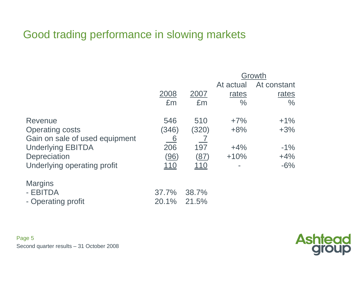# Good trading performance in slowing markets

|                                                  |                | Growth             |               |               |  |  |  |
|--------------------------------------------------|----------------|--------------------|---------------|---------------|--|--|--|
|                                                  |                |                    | At actual     | At constant   |  |  |  |
|                                                  | 2008           | 2007               | rates         | rates         |  |  |  |
|                                                  | £m             | £m                 | $\frac{0}{0}$ | $\frac{0}{0}$ |  |  |  |
| Revenue                                          | 546            | 510                | $+7%$         | $+1\%$        |  |  |  |
| <b>Operating costs</b>                           | (346)          | (320)              | $+8%$         | $+3%$         |  |  |  |
| Gain on sale of used equipment                   | 6              |                    |               |               |  |  |  |
| <b>Underlying EBITDA</b>                         | 206            | 197                | $+4%$         | $-1\%$        |  |  |  |
| Depreciation                                     | <u>(96)</u>    | $\left( 87\right)$ | $+10%$        | $+4%$         |  |  |  |
| Underlying operating profit                      | <u> 110</u>    | 110                | ۰             | $-6%$         |  |  |  |
| <b>Margins</b><br>- EBITDA<br>- Operating profit | 37.7%<br>20.1% | 38.7%<br>21.5%     |               |               |  |  |  |

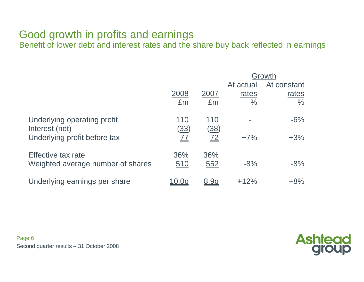## Good growth in profits and earnings

Benefit of lower debt and interest rates and the share buy back reflected in earnings

| Growth     |                          |                          |               |  |  |
|------------|--------------------------|--------------------------|---------------|--|--|
|            |                          | At actual                | At constant   |  |  |
| 2008       | 2007                     | rates                    | rates         |  |  |
| £m         | £m                       | $\frac{0}{0}$            | $\frac{0}{0}$ |  |  |
| 110        | 110                      |                          | $-6%$         |  |  |
|            |                          |                          |               |  |  |
|            |                          |                          | $+3%$         |  |  |
| 36%        | 36%                      |                          |               |  |  |
| <u>510</u> | 552                      | $-8%$                    | $-8%$         |  |  |
|            | <u>8.9p</u>              | $+12%$                   | $+8%$         |  |  |
|            | <u>(33)</u><br><u>77</u> | <u>(38)</u><br><u>72</u> | $+7%$         |  |  |

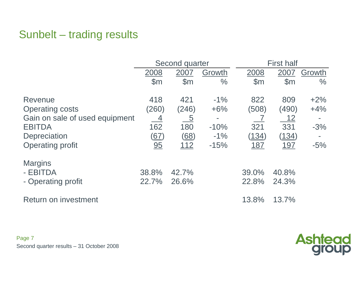# Sunbelt – trading results

|                                |                              | Second quarter  |               | <b>First half</b> |                |        |  |  |
|--------------------------------|------------------------------|-----------------|---------------|-------------------|----------------|--------|--|--|
|                                | 2008                         | 2007            | Growth        | 2008              | 2007           | Growth |  |  |
|                                | $\mathsf{S}$ m               | $\mathsf{S}$ m  | $\frac{0}{0}$ | $\mathsf{S}$ m    | $\mathsf{S}$ m | $\%$   |  |  |
| Revenue                        | 418                          | 421             | $-1\%$        | 822               | 809            | $+2\%$ |  |  |
| <b>Operating costs</b>         | (260)                        | (246)           | $+6%$         | (508)             | (490)          | $+4%$  |  |  |
| Gain on sale of used equipment | <u>4</u>                     | $\underline{5}$ |               |                   | <u> 12</u>     |        |  |  |
| <b>EBITDA</b>                  | 162                          | 180             | $-10%$        | 321               | 331            | $-3%$  |  |  |
| Depreciation                   | <u>(67)</u>                  | (68)            | $-1\%$        | <u>(134)</u>      | <u>(134)</u>   |        |  |  |
| <b>Operating profit</b>        | $\underline{\underline{95}}$ | <u> 112</u>     | $-15%$        | <u>187</u>        | <u>197</u>     | $-5%$  |  |  |
| <b>Margins</b>                 |                              |                 |               |                   |                |        |  |  |
| - EBITDA                       | 38.8%                        | 42.7%           |               | 39.0%             | 40.8%          |        |  |  |
| - Operating profit             | 22.7%                        | 26.6%           |               | 22.8%             | 24.3%          |        |  |  |
| Return on investment           |                              |                 |               | 13.8%             | 13.7%          |        |  |  |

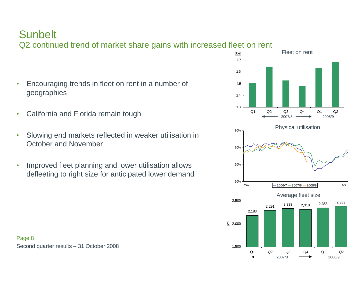# **Sunbelt**

Q2 continued trend of market share gains with increased fleet on rent

- • Encouraging trends in fleet on rent in a number of geographies
- •California and Florida remain tough
- • Slowing end markets reflected in weaker utilisation in October and November
- • Improved fleet planning and lower utilisation allowsdefleeting to right size for anticipated lower demand

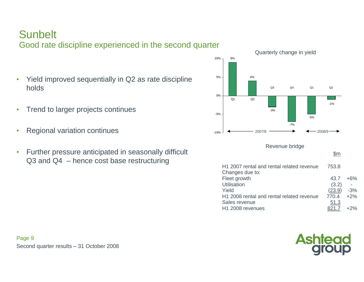# **Sunbelt**

Good rate discipline experienced in the second quarter

- • Yield improved sequentially in Q2 as rate disciplineholds
- •Trend to larger projects continues
- •Regional variation continues
- • Further pressure anticipated in seasonally difficult Q3 and Q4 – hence cost base restructuring





+2%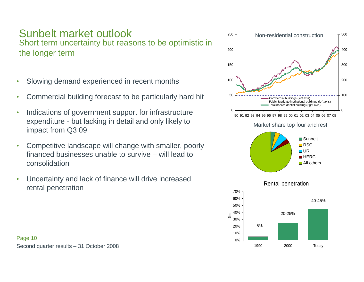## Sunbelt market outlook

 Short term uncertainty but reasons to be optimistic in the longer term

- •Slowing demand experienced in recent months
- $\bullet$ Commercial building forecast to be particularly hard hit
- • Indications of government support for infrastructure expenditure - but lacking in detail and only likely to impact from Q3 09
- • Competitive landscape will change with smaller, poorly financed businesses unable to survive – will lead toconsolidation
- • Uncertainty and lack of finance will drive increased rental penetration

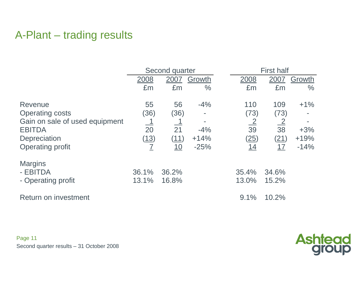# A-Plant – trading results

|                                |                            | Second quarter |               |                | <b>First half</b> |               |  |  |
|--------------------------------|----------------------------|----------------|---------------|----------------|-------------------|---------------|--|--|
|                                | 2008                       | 2007           | Growth        | 2008           | 2007              | Growth        |  |  |
|                                | £m                         | £m             | $\frac{0}{0}$ | £m             | £m                | $\frac{0}{0}$ |  |  |
| Revenue                        | 55                         | 56             | $-4%$         | 110            | 109               | $+1\%$        |  |  |
| <b>Operating costs</b>         | (36)                       | (36)           |               | (73)           | (73)              |               |  |  |
| Gain on sale of used equipment |                            | <u>_1</u>      |               | $\frac{2}{39}$ | $\frac{2}{38}$    |               |  |  |
| <b>EBITDA</b>                  | 20                         | 21             | $-4%$         |                |                   | $+3%$         |  |  |
| <b>Depreciation</b>            | (13)                       | (11)           | $+14%$        | <u>(25)</u>    | (21)              | $+19%$        |  |  |
| <b>Operating profit</b>        | $\overline{\underline{I}}$ | <u>10</u>      | $-25%$        | 14             | 17                | $-14%$        |  |  |
| <b>Margins</b>                 |                            |                |               |                |                   |               |  |  |
| - EBITDA                       | 36.1%                      | 36.2%          |               | 35.4%          | 34.6%             |               |  |  |
| - Operating profit             | 13.1%                      | 16.8%          |               | 13.0%          | 15.2%             |               |  |  |
| <b>Return on investment</b>    |                            |                |               | 9.1%           | 10.2%             |               |  |  |

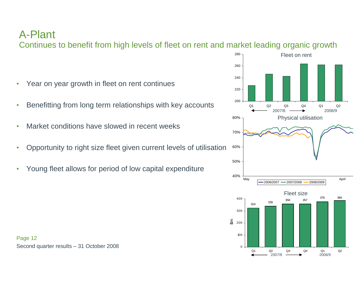## A-Plant

Continues to benefit from high levels of fleet on rent and market leading organic growth

- $\bullet$ Year on year growth in fleet on rent continues
- •Benefitting from long term relationships with key accounts
- •Market conditions have slowed in recent weeks
- $\bullet$ Opportunity to right size fleet given current levels of utilisation
- •Young fleet allows for period of low capital expenditure

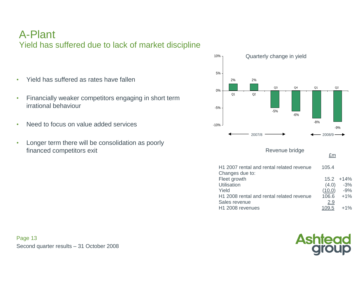### A-PlantYield has suffered due to lack of market discipline

- •Yield has suffered as rates have fallen
- • Financially weaker competitors engaging in short term irrational behaviour
- •Need to focus on value added services
- • Longer term there will be consolidation as poorly financed competitors exit



H<sub>1</sub> 2008 rental and rental related revenue 106.6

H1 2008 revenues

 +1%Sales revenue 2.9 109.5 +1%

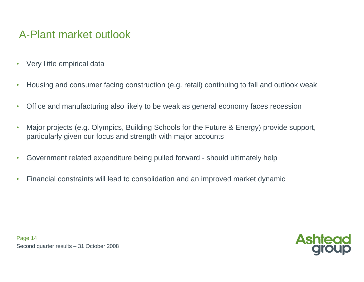# A-Plant market outlook

- •Very little empirical data
- •Housing and consumer facing construction (e.g. retail) continuing to fall and outlook weak
- •Office and manufacturing also likely to be weak as general economy faces recession
- • Major projects (e.g. Olympics, Building Schools for the Future & Energy) provide support, particularly given our focus and strength with major accounts
- $\bullet$ Government related expenditure being pulled forward - should ultimately help
- $\bullet$ Financial constraints will lead to consolidation and an improved market dynamic

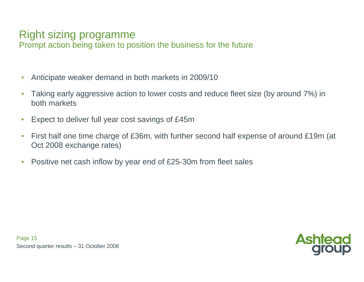# Right sizing programme

Prompt action being taken to position the business for the future

- •Anticipate weaker demand in both markets in 2009/10
- $\bullet$  Taking early aggressive action to lower costs and reduce fleet size (by around 7%) in both markets
- $\bullet$ Expect to deliver full year cost savings of £45m
- $\bullet$  First half one time charge of £36m, with further second half expense of around £19m (at Oct 2008 exchange rates)
- $\bullet$ Positive net cash inflow by year end of £25-30m from fleet sales

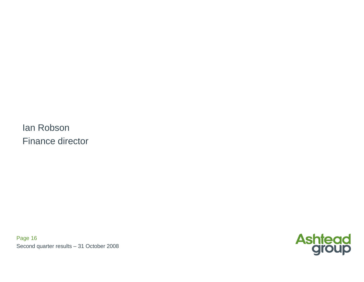Ian RobsonFinance director

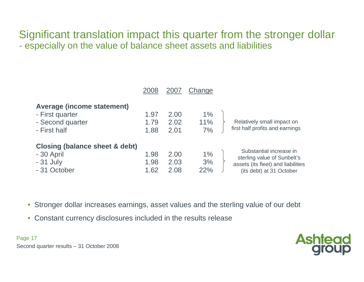### Significant translation impact this quarter from the stronger dollarespecially on the value of balance sheet assets and liabilities

|                                                                                          | 2008                 | <b>200</b>           | Change             |                                                                                                                          |
|------------------------------------------------------------------------------------------|----------------------|----------------------|--------------------|--------------------------------------------------------------------------------------------------------------------------|
| <b>Average (income statement)</b><br>- First quarter<br>- Second quarter<br>- First half | 1.97<br>1.79<br>1.88 | 2.00<br>2.02<br>2.01 | $1\%$<br>11%<br>7% | Relatively small impact on<br>first half profits and earnings                                                            |
| Closing (balance sheet & debt)<br>- 30 April<br>$-31$ July<br>- 31 October               | 1.98<br>1.98<br>1.62 | 2.00<br>2.03<br>2.08 | 1%<br>3%<br>22%    | Substantial increase in<br>sterling value of Sunbelt's<br>assets (its fleet) and liabilities<br>(its debt) at 31 October |

- Stronger dollar increases earnings, asset values and the sterling value of our debt
- Constant currency disclosures included in the results release

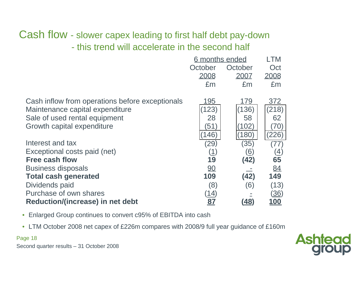## Cash flow - slower capex leading to first half debt pay-downthis trend will accelerate in the second half

|                                                 | 6 months ended |            | _TM                            |
|-------------------------------------------------|----------------|------------|--------------------------------|
|                                                 | October        | October    | Oct                            |
|                                                 | 2008           | 2007       | 2008                           |
|                                                 | £m             | £m         | £m                             |
| Cash inflow from operations before exceptionals | 195            | 179        | 372                            |
| Maintenance capital expenditure                 | (123)          | (136)      | (218)                          |
| Sale of used rental equipment                   | 28             | 58         | 62                             |
| Growth capital expenditure                      | (51)           | 102)       | $\left( 70\right)$             |
|                                                 | 146)           | (180)      | (226)                          |
| Interest and tax                                | (29)           | (35)       | 77                             |
| Exceptional costs paid (net)                    | (1)            | <u>(6)</u> | $\left( \underline{4} \right)$ |
| <b>Free cash flow</b>                           | 19             | (42)       | 65                             |
| <b>Business disposals</b>                       | 90             |            | 84                             |
| <b>Total cash generated</b>                     | 109            | (42)       | 149                            |
| Dividends paid                                  | (8)            | (6)        | (13)                           |
| Purchase of own shares                          | <u>(14)</u>    |            | <u>(36)</u>                    |
| Reduction/(increase) in net debt                | <u>87</u>      | (48)       | <b>100</b>                     |

- Enlarged Group continues to convert c95% of EBITDA into cash
- LTM October 2008 net capex of £226m compares with 2008/9 full year guidance of £160m

### Page 18

Second quarter results – 31 October 2008

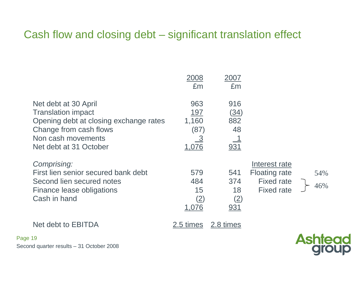# Cash flow and closing debt – significant translation effect

|                                                                                                                                                                       | 2008<br>£m                                                | 2007<br>£m                            |                                                                                 |            |
|-----------------------------------------------------------------------------------------------------------------------------------------------------------------------|-----------------------------------------------------------|---------------------------------------|---------------------------------------------------------------------------------|------------|
| Net debt at 30 April<br><b>Translation impact</b><br>Opening debt at closing exchange rates<br>Change from cash flows<br>Non cash movements<br>Net debt at 31 October | 963<br><u> 197</u><br>1,160<br>(87)<br><u>_3</u><br>1,076 | 916<br>(34)<br>882<br>48<br>931       |                                                                                 |            |
| Comprising:<br>First lien senior secured bank debt<br>Second lien secured notes<br>Finance lease obligations<br>Cash in hand                                          | 579<br>484<br>15<br><u>(2)</u><br><u>1,076</u>            | 541<br>374<br>18<br>(2)<br><u>931</u> | Interest rate<br><b>Floating rate</b><br><b>Fixed rate</b><br><b>Fixed rate</b> | 54%<br>46% |
| Net debt to EBITDA                                                                                                                                                    | 2.5 times                                                 | 2.8 times                             |                                                                                 |            |

Second quarter results – 31 October 2008

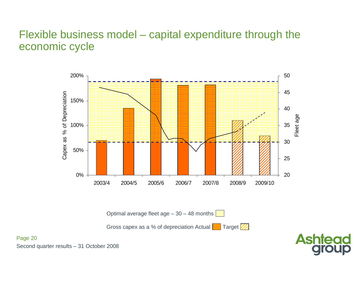### Flexible business model – capital expenditure through the economic cycle



Optimal average fleet age  $-30 - 48$  months

Gross capex as a % of depreciation Actual  $\Box$  Target



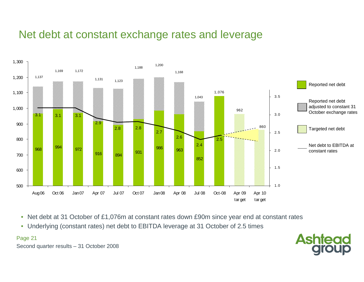# Net debt at constant exchange rates and leverage



- $\bullet$ Net debt at 31 October of £1,076m at constant rates down £90m since year end at constant rates
- $\bullet$ Underlying (constant rates) net debt to EBITDA leverage at 31 October of 2.5 times

### Page 21

Second quarter results – 31 October 2008

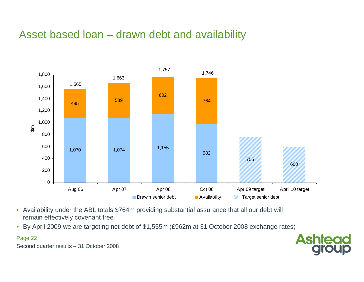# Asset based loan – drawn debt and availability



- Availability under the ABL totals \$764m providing substantial assurance that all our debt will remain effectively covenant free
- By April 2009 we are targeting net debt of \$1,555m (£962m at 31 October 2008 exchange rates)  $\bullet$



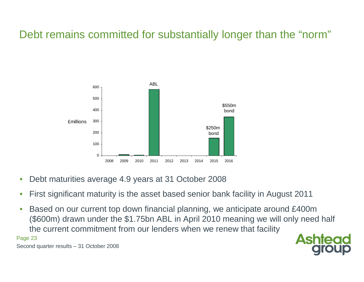# Debt remains committed for substantially longer than the "norm"



- •Debt maturities average 4.9 years at 31 October 2008
- •First significant maturity is the asset based senior bank facility in August 2011
- • Based on our current top down financial planning, we anticipate around £400m (\$600m) drawn under the \$1.75bn ABL in April 2010 meaning we will only need half the current commitment from our lenders when we renew that facility

#### Page 23

Second quarter results – 31 October 2008

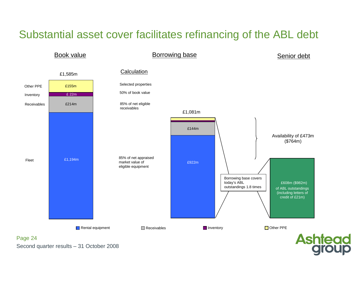# Substantial asset cover facilitates refinancing of the ABL debt

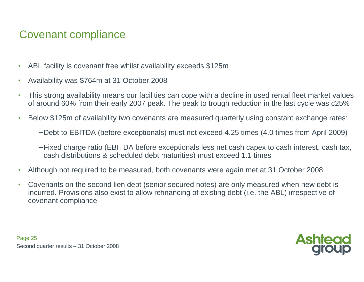# Covenant compliance

- $\bullet$ ABL facility is covenant free whilst availability exceeds \$125m
- •Availability was \$764m at 31 October 2008
- • This strong availability means our facilities can cope with a decline in used rental fleet market valuesof around 60% from their early 2007 peak. The peak to trough reduction in the last cycle was c25%
- • Below \$125m of availability two covenants are measured quarterly using constant exchange rates:
	- − Debt to EBITDA (before exceptionals) must not exceed 4.25 times (4.0 times from April 2009)
	- − Fixed charge ratio (EBITDA before exceptionals less net cash capex to cash interest, cash tax, cash distributions & scheduled debt maturities) must exceed 1.1 times
- •Although not required to be measured, both covenants were again met at 31 October 2008
- $\bullet$  Covenants on the second lien debt (senior secured notes) are only measured when new debt is incurred. Provisions also exist to allow refinancing of existing debt (i.e. the ABL) irrespective of covenant compliance

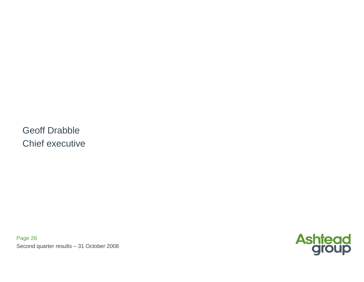Geoff DrabbleChief executive

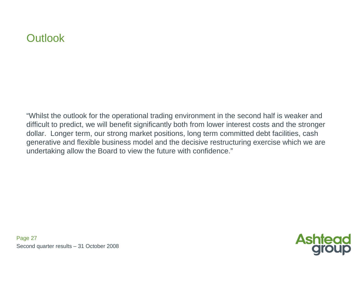# **Outlook**

"Whilst the outlook for the operational trading environment in the second half is weaker and difficult to predict, we will benefit significantly both from lower interest costs and the stronger dollar. Longer term, our strong market positions, long term committed debt facilities, cash generative and flexible business model and the decisive restructuring exercise which we are undertaking allow the Board to view the future with confidence."

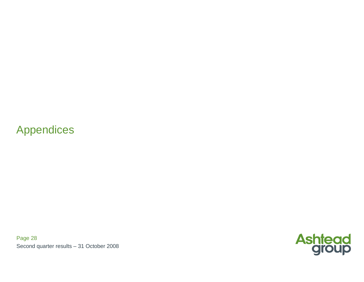# Appendices

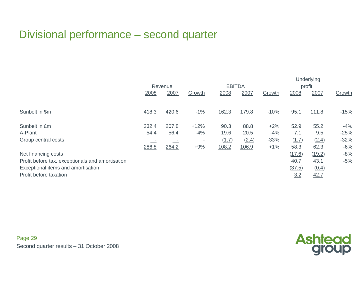# Divisional performance – second quarter

|                                                  |         |       |        |               | Underlying |        |        |              |        |
|--------------------------------------------------|---------|-------|--------|---------------|------------|--------|--------|--------------|--------|
|                                                  | Revenue |       |        | <b>EBITDA</b> |            |        | profit |              |        |
|                                                  | 2008    | 2007  | Growth | 2008          | 2007       | Growth | 2008   | 2007         | Growth |
|                                                  |         |       |        |               |            |        |        |              |        |
| Sunbelt in \$m                                   | 418.3   | 420.6 | $-1\%$ | 162.3         | 179.8      | $-10%$ | 95.1   | <u>111.8</u> | $-15%$ |
|                                                  |         |       |        |               |            |        |        |              |        |
| Sunbelt in £m                                    | 232.4   | 207.8 | $+12%$ | 90.3          | 88.8       | $+2%$  | 52.9   | 55.2         | $-4%$  |
| A-Plant                                          | 54.4    | 56.4  | $-4%$  | 19.6          | 20.5       | $-4%$  | 7.1    | 9.5          | $-25%$ |
| Group central costs                              |         |       | $\sim$ | (1.7)         | (2.4)      | $-33%$ | (1.7)  | (2.4)        | $-32%$ |
|                                                  | 286.8   | 264.2 | $+9%$  | 108.2         | 106.9      | $+1%$  | 58.3   | 62.3         | $-6%$  |
| Net financing costs                              |         |       |        |               |            |        | (17.6) | (19.2)       | $-8%$  |
| Profit before tax, exceptionals and amortisation |         |       |        |               |            |        | 40.7   | 43.1         | $-5%$  |
| Exceptional items and amortisation               |         |       |        |               |            |        | (37.5) | (0.4)        |        |
| Profit before taxation                           |         |       |        |               |            |        | 3.2    | 42.7         |        |

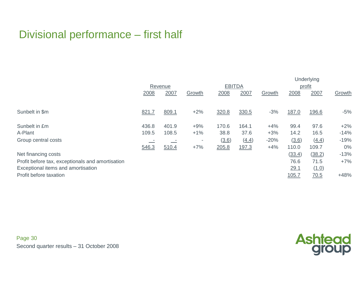# Divisional performance – first half

|                                                  |         |       |        |               |       | Underlying |        |        |        |
|--------------------------------------------------|---------|-------|--------|---------------|-------|------------|--------|--------|--------|
|                                                  | Revenue |       |        | <b>EBITDA</b> |       |            | profit |        |        |
|                                                  | 2008    | 2007  | Growth | 2008          | 2007  | Growth     | 2008   | 2007   | Growth |
|                                                  |         |       |        |               |       |            |        |        |        |
| Sunbelt in \$m                                   | 821.7   | 809.1 | $+2%$  | 320.8         | 330.5 | $-3%$      | 187.0  | 196.6  | $-5%$  |
|                                                  |         |       |        |               |       |            |        |        |        |
| Sunbelt in £m                                    | 436.8   | 401.9 | $+9%$  | 170.6         | 164.1 | $+4%$      | 99.4   | 97.6   | $+2%$  |
| A-Plant                                          | 109.5   | 108.5 | $+1\%$ | 38.8          | 37.6  | $+3%$      | 14.2   | 16.5   | $-14%$ |
| Group central costs                              |         |       | ٠      | (3.6)         | (4.4) | $-20%$     | (3.6)  | (4.4)  | $-19%$ |
|                                                  | 546.3   | 510.4 | $+7%$  | 205.8         | 197.3 | $+4%$      | 110.0  | 109.7  | $0\%$  |
| Net financing costs                              |         |       |        |               |       |            | (33.4) | (38.2) | $-13%$ |
| Profit before tax, exceptionals and amortisation |         |       |        |               |       |            | 76.6   | 71.5   | $+7%$  |
| Exceptional items and amortisation               |         |       |        |               |       |            | 29.1   | (1.0)  |        |
| Profit before taxation                           |         |       |        |               |       |            | 105.7  | 70.5   | $+48%$ |

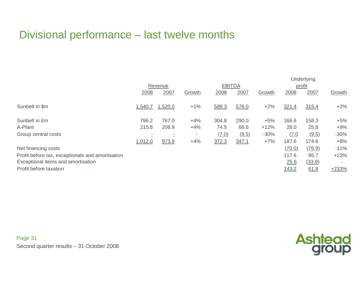# Divisional performance – last twelve months

|                                                  |         |                          |        |               |       | <b>Underlying</b> |        |        |         |
|--------------------------------------------------|---------|--------------------------|--------|---------------|-------|-------------------|--------|--------|---------|
|                                                  | Revenue |                          |        | <b>EBITDA</b> |       |                   | profit |        |         |
|                                                  | 2008    | 2007                     | Growth | 2008          | 2007  | Growth            | 2008   | 2007   | Growth  |
| Sunbelt in \$m                                   | 1,540.7 | 1,520.0                  | $+1%$  | 589.3         | 576.0 | $+2%$             | 321.4  | 315.4  | $+2%$   |
| Sunbelt in £m                                    | 796.2   | 767.0                    | $+4%$  | 304.8         | 290.0 | $+5%$             | 166.6  | 158.3  | $+5%$   |
| A-Plant                                          | 215.8   | 206.9                    | $+4%$  | 74.5          | 66.6  | $+12%$            | 28.0   | 25.8   | $+9%$   |
| Group central costs                              |         | $\overline{\phantom{a}}$ | ۰      | (7.0)         | (9.5) | $-30%$            | (7.0)  | (9.5)  | $-30%$  |
|                                                  | 1,012.0 | 973.9                    | $+4%$  | 372.3         | 347.1 | $+7%$             | 187.6  | 174.6  | $+8%$   |
| Net financing costs                              |         |                          |        |               |       |                   | (70.0) | (78.9) | $-11%$  |
| Profit before tax, exceptionals and amortisation |         |                          |        |               |       |                   | 117.6  | 95.7   | $+23%$  |
| Exceptional items and amortisation               |         |                          |        |               |       |                   | 25.6   | (33.9) |         |
| Profit before taxation                           |         |                          |        |               |       |                   | 143.2  | 61.8   | $+233%$ |